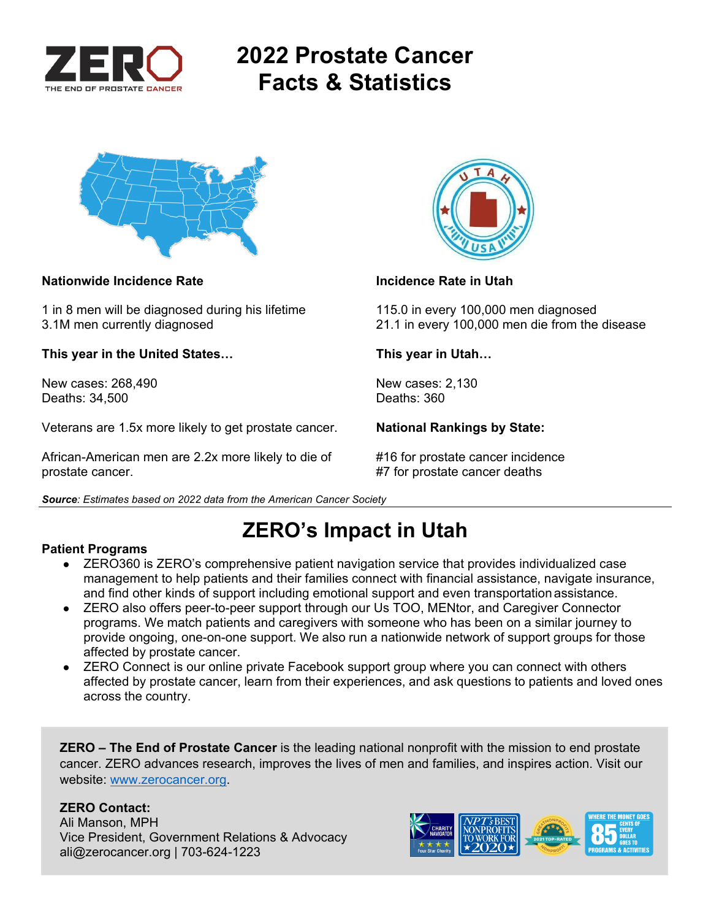

## **2022 Prostate Cancer Facts & Statistics**



### **Nationwide Incidence Rate Incidence Rate in Utah**

1 in 8 men will be diagnosed during his lifetime 115.0 in every 100,000 men diagnosed

**This year in the United States… This year in Utah…** 

New cases: 268,490 New cases: 2,130 Deaths: 34,500

Veterans are 1.5x more likely to get prostate cancer. **National Rankings by State:** 

African-American men are 2.2x more likely to die of #16 for prostate cancer incidence prostate cancer. **All in the set of the set of the set of the set of the set of the set of the set of the set of the set of the set of the set of the set of the set of the set of the set of the set of the set of the set of** 



3.1M men currently diagnosed 21.1 in every 100,000 men die from the disease

*Source: Estimates based on 2022 data from the American Cancer Society* 

# **ZERO's Impact in Utah**

### **Patient Programs**

- ZERO360 is ZERO's comprehensive patient navigation service that provides individualized case management to help patients and their families connect with financial assistance, navigate insurance, and find other kinds of support including emotional support and even transportation assistance.
- ZERO also offers peer-to-peer support through our Us TOO, MENtor, and Caregiver Connector programs. We match patients and caregivers with someone who has been on a similar journey to provide ongoing, one-on-one support. We also run a nationwide network of support groups for those affected by prostate cancer.
- ZERO Connect is our online private Facebook support group where you can connect with others affected by prostate cancer, learn from their experiences, and ask questions to patients and loved ones across the country.

**ZERO – The End of Prostate Cancer** is the leading national nonprofit with the mission to end prostate cancer. ZERO advances research, improves the lives of men and families, and inspires action. Visit our website: www.zerocancer.org.

### **ZERO Contact:**

Ali Manson, MPH Vice President, Government Relations & Advocacy ali@zerocancer.org | 703-624-1223